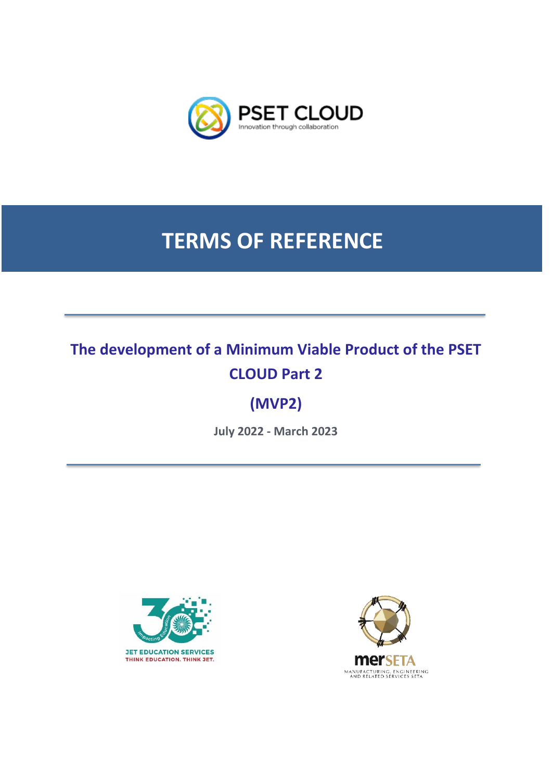

# **TERMS OF REFERENCE**

# **The development of a Minimum Viable Product of the PSET CLOUD Part 2**

# **(MVP2)**

**July 2022 - March 2023**



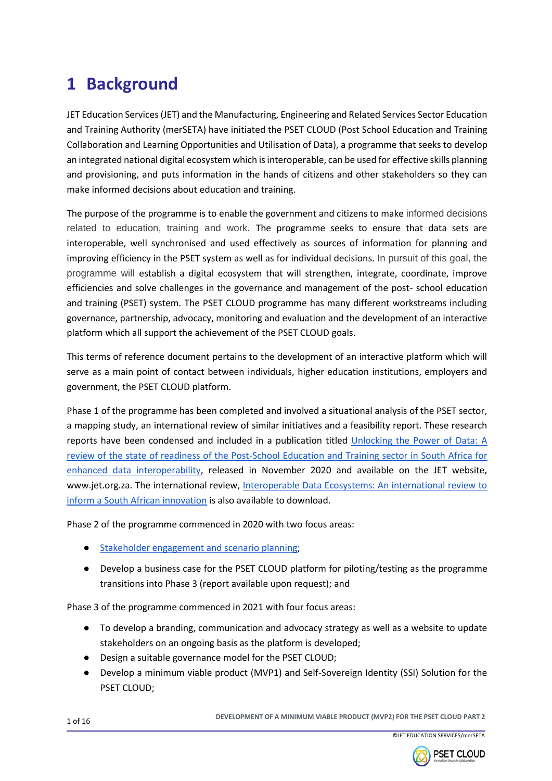# **1 Background**

JET Education Services (JET) and the Manufacturing, Engineering and Related Services Sector Education and Training Authority (merSETA) have initiated the PSET CLOUD (Post School Education and Training Collaboration and Learning Opportunities and Utilisation of Data), a programme that seeks to develop an integrated national digital ecosystem which is interoperable, can be used for effective skills planning and provisioning, and puts information in the hands of citizens and other stakeholders so they can make informed decisions about education and training.

The purpose of the programme is to enable the government and citizens to make informed decisions related to education, training and work. The programme seeks to ensure that data sets are interoperable, well synchronised and used effectively as sources of information for planning and improving efficiency in the PSET system as well as for individual decisions. In pursuit of this goal, the programme will establish a digital ecosystem that will strengthen, integrate, coordinate, improve efficiencies and solve challenges in the governance and management of the post- school education and training (PSET) system. The PSET CLOUD programme has many different workstreams including governance, partnership, advocacy, monitoring and evaluation and the development of an interactive platform which all support the achievement of the PSET CLOUD goals.

This terms of reference document pertains to the development of an interactive platform which will serve as a main point of contact between individuals, higher education institutions, employers and government, the PSET CLOUD platform.

Phase 1 of the programme has been completed and involved a situational analysis of the PSET sector, a mapping study, an international review of similar initiatives and a feasibility report. These research reports have been condensed and included in a publication titled [Unlocking the Power of Data: A](https://www.jet.org.za/resources/unlocking-the-power-of-data-final-web-nov2020.pdf/download)  [review of the state of readiness of the Post-School Education and Training sector in South Africa](https://www.jet.org.za/resources/unlocking-the-power-of-data-final-web-nov2020.pdf/download) for [enhanced data interoperability,](https://www.jet.org.za/resources/unlocking-the-power-of-data-final-web-nov2020.pdf/download) released in November 2020 and available on the JET website, www.jet.org.za. The international review, Interoperable Data Ecosystems: An international review to [inform a South African innovation](https://www.jet.org.za/news/new-publication-interoperable-data-ecosystems-an-international-review-to-inform-a-south-african-innovation) is also available to download.

Phase 2 of the programme commenced in 2020 with two focus areas:

- [Stakeholder engagement and scenario planning;](https://psetcloud.org.za/news/jet-scenario_final_web_v2.pdf)
- Develop a business case for the PSET CLOUD platform for piloting/testing as the programme transitions into Phase 3 (report available upon request); and

Phase 3 of the programme commenced in 2021 with four focus areas:

- To develop a branding, communication and advocacy strategy as well as a website to update stakeholders on an ongoing basis as the platform is developed;
- Design a suitable governance model for the PSET CLOUD;
- Develop a minimum viable product (MVP1) and Self-Sovereign Identity (SSI) Solution for the PSET CLOUD;



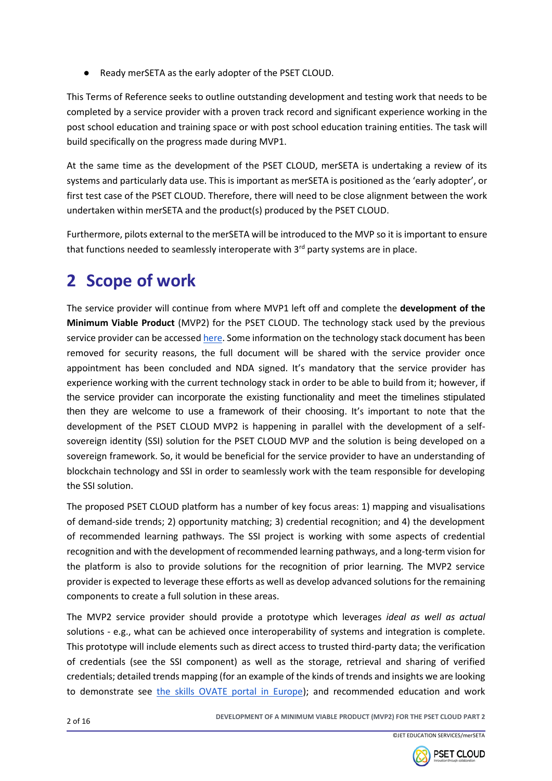Ready merSETA as the early adopter of the PSET CLOUD.

This Terms of Reference seeks to outline outstanding development and testing work that needs to be completed by a service provider with a proven track record and significant experience working in the post school education and training space or with post school education training entities. The task will build specifically on the progress made during MVP1.

At the same time as the development of the PSET CLOUD, merSETA is undertaking a review of its systems and particularly data use. This is important as merSETA is positioned as the 'early adopter', or first test case of the PSET CLOUD. Therefore, there will need to be close alignment between the work undertaken within merSETA and the product(s) produced by the PSET CLOUD.

Furthermore, pilots external to the merSETA will be introduced to the MVP so it is important to ensure that functions needed to seamlessly interoperate with  $3<sup>rd</sup>$  party systems are in place.

# **2 Scope of work**

The service provider will continue from where MVP1 left off and complete the **development of the Minimum Viable Product** (MVP2) for the PSET CLOUD. The technology stack used by the previous service provider can be accesse[d here.](https://drive.google.com/file/d/1LL0Ut0b5QafIubqevNc-x1KxKU8b1m6w/view?usp=sharing) Some information on the technology stack document has been removed for security reasons, the full document will be shared with the service provider once appointment has been concluded and NDA signed. It's mandatory that the service provider has experience working with the current technology stack in order to be able to build from it; however, if the service provider can incorporate the existing functionality and meet the timelines stipulated then they are welcome to use a framework of their choosing. It's important to note that the development of the PSET CLOUD MVP2 is happening in parallel with the development of a selfsovereign identity (SSI) solution for the PSET CLOUD MVP and the solution is being developed on a sovereign framework. So, it would be beneficial for the service provider to have an understanding of blockchain technology and SSI in order to seamlessly work with the team responsible for developing the SSI solution.

The proposed PSET CLOUD platform has a number of key focus areas: 1) mapping and visualisations of demand-side trends; 2) opportunity matching; 3) credential recognition; and 4) the development of recommended learning pathways. The SSI project is working with some aspects of credential recognition and with the development of recommended learning pathways, and a long-term vision for the platform is also to provide solutions for the recognition of prior learning. The MVP2 service provider is expected to leverage these efforts as well as develop advanced solutions for the remaining components to create a full solution in these areas.

The MVP2 service provider should provide a prototype which leverages *ideal as well as actual*  solutions - e.g., what can be achieved once interoperability of systems and integration is complete. This prototype will include elements such as direct access to trusted third-party data; the verification of credentials (see the SSI component) as well as the storage, retrieval and sharing of verified credentials; detailed trends mapping (for an example of the kinds of trends and insights we are looking to demonstrate see [the skills OVATE portal in Europe\)](https://www.cedefop.europa.eu/en/tools/skills-online-vacancies); and recommended education and work



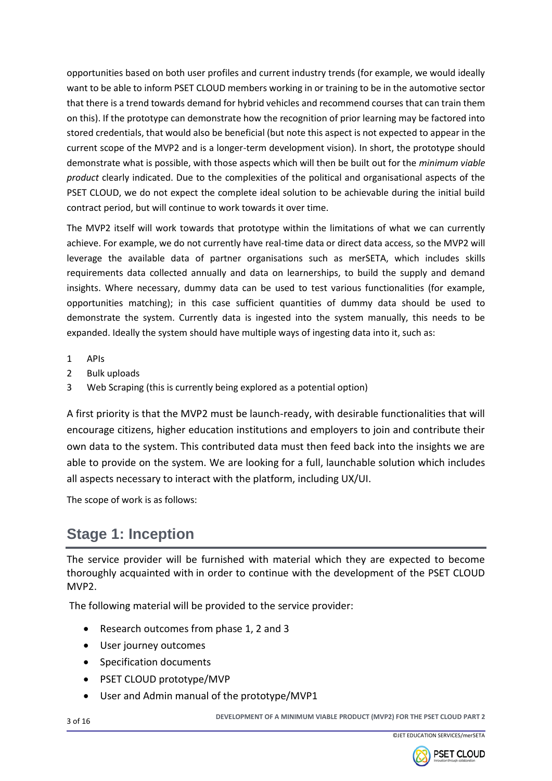opportunities based on both user profiles and current industry trends (for example, we would ideally want to be able to inform PSET CLOUD members working in or training to be in the automotive sector that there is a trend towards demand for hybrid vehicles and recommend courses that can train them on this). If the prototype can demonstrate how the recognition of prior learning may be factored into stored credentials, that would also be beneficial (but note this aspect is not expected to appear in the current scope of the MVP2 and is a longer-term development vision). In short, the prototype should demonstrate what is possible, with those aspects which will then be built out for the *minimum viable product* clearly indicated. Due to the complexities of the political and organisational aspects of the PSET CLOUD, we do not expect the complete ideal solution to be achievable during the initial build contract period, but will continue to work towards it over time.

The MVP2 itself will work towards that prototype within the limitations of what we can currently achieve. For example, we do not currently have real-time data or direct data access, so the MVP2 will leverage the available data of partner organisations such as merSETA, which includes skills requirements data collected annually and data on learnerships, to build the supply and demand insights. Where necessary, dummy data can be used to test various functionalities (for example, opportunities matching); in this case sufficient quantities of dummy data should be used to demonstrate the system. Currently data is ingested into the system manually, this needs to be expanded. Ideally the system should have multiple ways of ingesting data into it, such as:

- 1 APIs
- 2 Bulk uploads
- 3 Web Scraping (this is currently being explored as a potential option)

A first priority is that the MVP2 must be launch-ready, with desirable functionalities that will encourage citizens, higher education institutions and employers to join and contribute their own data to the system. This contributed data must then feed back into the insights we are able to provide on the system. We are looking for a full, launchable solution which includes all aspects necessary to interact with the platform, including UX/UI.

The scope of work is as follows:

### **Stage 1: Inception**

The service provider will be furnished with material which they are expected to become thoroughly acquainted with in order to continue with the development of the PSET CLOUD MVP2.

The following material will be provided to the service provider:

- Research outcomes from phase 1, 2 and 3
- User journey outcomes
- Specification documents
- PSET CLOUD prototype/MVP
- User and Admin manual of the prototype/MVP1

<sup>3</sup> of 16 **DEVELOPMENT OF A MINIMUM VIABLE PRODUCT (MVP2) FOR THE PSET CLOUD PART 2**

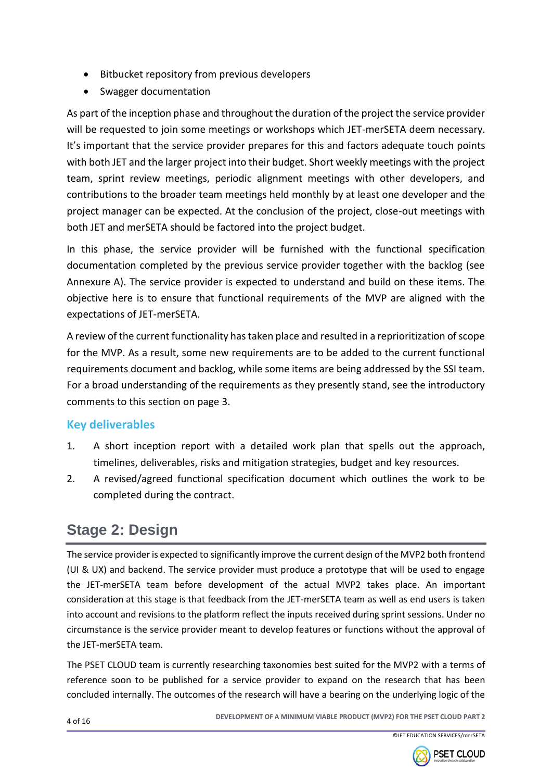- Bitbucket repository from previous developers
- Swagger documentation

As part of the inception phase and throughout the duration of the project the service provider will be requested to join some meetings or workshops which JET-merSETA deem necessary. It's important that the service provider prepares for this and factors adequate touch points with both JET and the larger project into their budget. Short weekly meetings with the project team, sprint review meetings, periodic alignment meetings with other developers, and contributions to the broader team meetings held monthly by at least one developer and the project manager can be expected. At the conclusion of the project, close-out meetings with both JET and merSETA should be factored into the project budget.

In this phase, the service provider will be furnished with the functional specification documentation completed by the previous service provider together with the backlog (see Annexure A). The service provider is expected to understand and build on these items. The objective here is to ensure that functional requirements of the MVP are aligned with the expectations of JET-merSETA.

A review of the current functionality has taken place and resulted in a reprioritization of scope for the MVP. As a result, some new requirements are to be added to the current functional requirements document and backlog, while some items are being addressed by the SSI team. For a broad understanding of the requirements as they presently stand, see the introductory comments to this section on page 3.

#### **Key deliverables**

- 1. A short inception report with a detailed work plan that spells out the approach, timelines, deliverables, risks and mitigation strategies, budget and key resources.
- 2. A revised/agreed functional specification document which outlines the work to be completed during the contract.

### **Stage 2: Design**

The service provider is expected to significantly improve the current design of the MVP2 both frontend (UI & UX) and backend. The service provider must produce a prototype that will be used to engage the JET-merSETA team before development of the actual MVP2 takes place. An important consideration at this stage is that feedback from the JET-merSETA team as well as end users is taken into account and revisions to the platform reflect the inputs received during sprint sessions. Under no circumstance is the service provider meant to develop features or functions without the approval of the JET-merSETA team.

The PSET CLOUD team is currently researching taxonomies best suited for the MVP2 with a terms of reference soon to be published for a service provider to expand on the research that has been concluded internally. The outcomes of the research will have a bearing on the underlying logic of the

<sup>4</sup> of 16 **DEVELOPMENT OF A MINIMUM VIABLE PRODUCT (MVP2) FOR THE PSET CLOUD PART 2**

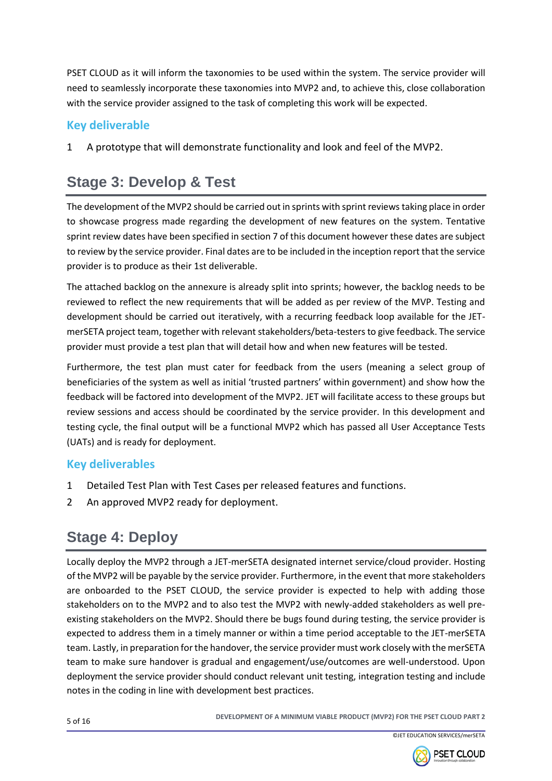PSET CLOUD as it will inform the taxonomies to be used within the system. The service provider will need to seamlessly incorporate these taxonomies into MVP2 and, to achieve this, close collaboration with the service provider assigned to the task of completing this work will be expected.

#### **Key deliverable**

1 A prototype that will demonstrate functionality and look and feel of the MVP2.

## **Stage 3: Develop & Test**

The development of the MVP2 should be carried out in sprints with sprint reviews taking place in order to showcase progress made regarding the development of new features on the system. Tentative sprint review dates have been specified in section 7 of this document however these dates are subject to review by the service provider. Final dates are to be included in the inception report that the service provider is to produce as their 1st deliverable.

The attached backlog on the annexure is already split into sprints; however, the backlog needs to be reviewed to reflect the new requirements that will be added as per review of the MVP. Testing and development should be carried out iteratively, with a recurring feedback loop available for the JETmerSETA project team, together with relevant stakeholders/beta-testers to give feedback. The service provider must provide a test plan that will detail how and when new features will be tested.

Furthermore, the test plan must cater for feedback from the users (meaning a select group of beneficiaries of the system as well as initial 'trusted partners' within government) and show how the feedback will be factored into development of the MVP2. JET will facilitate access to these groups but review sessions and access should be coordinated by the service provider. In this development and testing cycle, the final output will be a functional MVP2 which has passed all User Acceptance Tests (UATs) and is ready for deployment.

#### **Key deliverables**

- 1 Detailed Test Plan with Test Cases per released features and functions.
- 2 An approved MVP2 ready for deployment.

## **Stage 4: Deploy**

Locally deploy the MVP2 through a JET-merSETA designated internet service/cloud provider. Hosting of the MVP2 will be payable by the service provider. Furthermore, in the event that more stakeholders are onboarded to the PSET CLOUD, the service provider is expected to help with adding those stakeholders on to the MVP2 and to also test the MVP2 with newly-added stakeholders as well preexisting stakeholders on the MVP2. Should there be bugs found during testing, the service provider is expected to address them in a timely manner or within a time period acceptable to the JET-merSETA team. Lastly, in preparation for the handover, the service provider must work closely with the merSETA team to make sure handover is gradual and engagement/use/outcomes are well-understood. Upon deployment the service provider should conduct relevant unit testing, integration testing and include notes in the coding in line with development best practices.

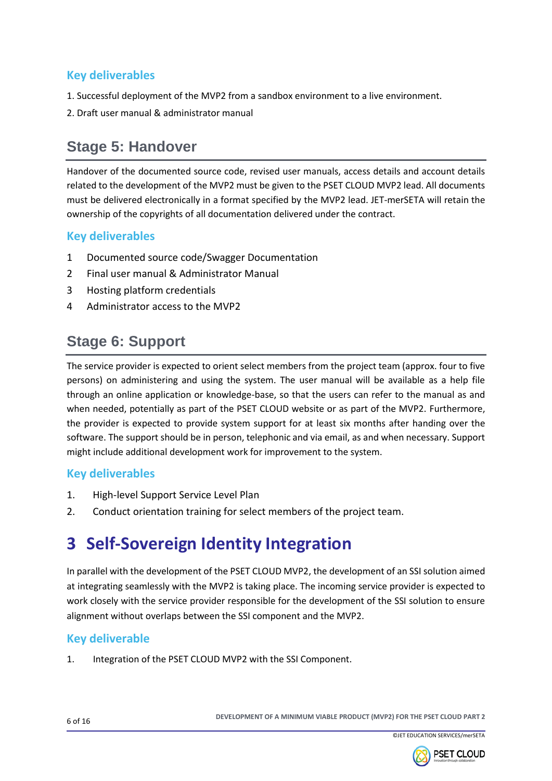#### **Key deliverables**

- 1. Successful deployment of the MVP2 from a sandbox environment to a live environment.
- 2. Draft user manual & administrator manual

### **Stage 5: Handover**

Handover of the documented source code, revised user manuals, access details and account details related to the development of the MVP2 must be given to the PSET CLOUD MVP2 lead. All documents must be delivered electronically in a format specified by the MVP2 lead. JET-merSETA will retain the ownership of the copyrights of all documentation delivered under the contract.

#### **Key deliverables**

- 1 Documented source code/Swagger Documentation
- 2 Final user manual & Administrator Manual
- 3 Hosting platform credentials
- 4 Administrator access to the MVP2

### **Stage 6: Support**

The service provider is expected to orient select members from the project team (approx. four to five persons) on administering and using the system. The user manual will be available as a help file through an online application or knowledge-base, so that the users can refer to the manual as and when needed, potentially as part of the PSET CLOUD website or as part of the MVP2. Furthermore, the provider is expected to provide system support for at least six months after handing over the software. The support should be in person, telephonic and via email, as and when necessary. Support might include additional development work for improvement to the system.

#### **Key deliverables**

- 1. High-level Support Service Level Plan
- 2. Conduct orientation training for select members of the project team.

## **3 Self-Sovereign Identity Integration**

In parallel with the development of the PSET CLOUD MVP2, the development of an SSI solution aimed at integrating seamlessly with the MVP2 is taking place. The incoming service provider is expected to work closely with the service provider responsible for the development of the SSI solution to ensure alignment without overlaps between the SSI component and the MVP2.

#### **Key deliverable**

1. Integration of the PSET CLOUD MVP2 with the SSI Component.



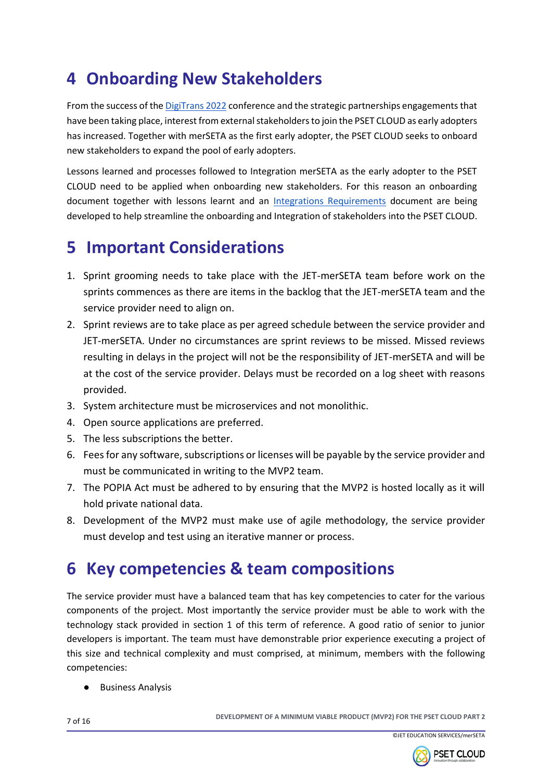# **4 Onboarding New Stakeholders**

From the success of th[e DigiTrans 2022](https://psetcloud.org.za/events/previous-events/digitrans-2022) conference and the strategic partnerships engagements that have been taking place, interest from external stakeholders to join the PSET CLOUD as early adopters has increased. Together with merSETA as the first early adopter, the PSET CLOUD seeks to onboard new stakeholders to expand the pool of early adopters.

Lessons learned and processes followed to Integration merSETA as the early adopter to the PSET CLOUD need to be applied when onboarding new stakeholders. For this reason an onboarding document together with lessons learnt and an [Integrations Requirements](https://docs.google.com/document/d/1HQLp2IXKHgOVaPKw_hr3ZVXdT9tkVgFX/edit) document are being developed to help streamline the onboarding and Integration of stakeholders into the PSET CLOUD.

## **5 Important Considerations**

- 1. Sprint grooming needs to take place with the JET-merSETA team before work on the sprints commences as there are items in the backlog that the JET-merSETA team and the service provider need to align on.
- 2. Sprint reviews are to take place as per agreed schedule between the service provider and JET-merSETA. Under no circumstances are sprint reviews to be missed. Missed reviews resulting in delays in the project will not be the responsibility of JET-merSETA and will be at the cost of the service provider. Delays must be recorded on a log sheet with reasons provided.
- 3. System architecture must be microservices and not monolithic.
- 4. Open source applications are preferred.
- 5. The less subscriptions the better.
- 6. Fees for any software, subscriptions or licenses will be payable by the service provider and must be communicated in writing to the MVP2 team.
- 7. The POPIA Act must be adhered to by ensuring that the MVP2 is hosted locally as it will hold private national data.
- 8. Development of the MVP2 must make use of agile methodology, the service provider must develop and test using an iterative manner or process.

## **6 Key competencies & team compositions**

The service provider must have a balanced team that has key competencies to cater for the various components of the project. Most importantly the service provider must be able to work with the technology stack provided in section 1 of this term of reference. A good ratio of senior to junior developers is important. The team must have demonstrable prior experience executing a project of this size and technical complexity and must comprised, at minimum, members with the following competencies:

**Business Analysis** 

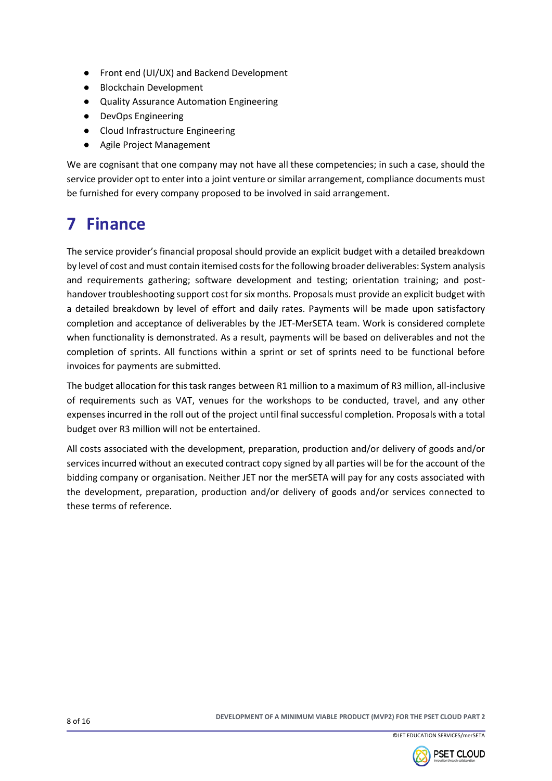- Front end (UI/UX) and Backend Development
- Blockchain Development
- Quality Assurance Automation Engineering
- DevOps Engineering
- Cloud Infrastructure Engineering
- Agile Project Management

We are cognisant that one company may not have all these competencies; in such a case, should the service provider opt to enter into a joint venture or similar arrangement, compliance documents must be furnished for every company proposed to be involved in said arrangement.

# **7 Finance**

The service provider's financial proposal should provide an explicit budget with a detailed breakdown by level of cost and must contain itemised costs for the following broader deliverables: System analysis and requirements gathering; software development and testing; orientation training; and posthandover troubleshooting support cost for six months. Proposals must provide an explicit budget with a detailed breakdown by level of effort and daily rates. Payments will be made upon satisfactory completion and acceptance of deliverables by the JET-MerSETA team. Work is considered complete when functionality is demonstrated. As a result, payments will be based on deliverables and not the completion of sprints. All functions within a sprint or set of sprints need to be functional before invoices for payments are submitted.

The budget allocation for this task ranges between R1 million to a maximum of R3 million, all-inclusive of requirements such as VAT, venues for the workshops to be conducted, travel, and any other expenses incurred in the roll out of the project until final successful completion. Proposals with a total budget over R3 million will not be entertained.

All costs associated with the development, preparation, production and/or delivery of goods and/or services incurred without an executed contract copy signed by all parties will be for the account of the bidding company or organisation. Neither JET nor the merSETA will pay for any costs associated with the development, preparation, production and/or delivery of goods and/or services connected to these terms of reference.



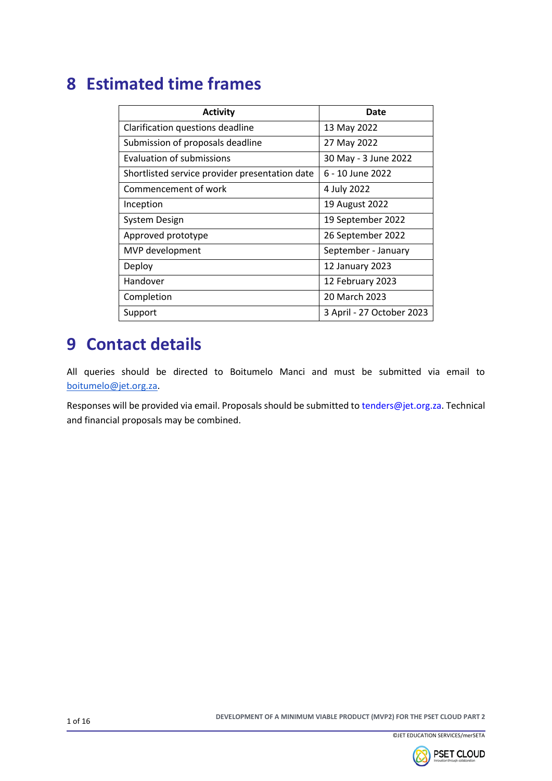## **8 Estimated time frames**

| <b>Activity</b>                                | Date                      |
|------------------------------------------------|---------------------------|
| Clarification questions deadline               | 13 May 2022               |
| Submission of proposals deadline               | 27 May 2022               |
| Evaluation of submissions                      | 30 May - 3 June 2022      |
| Shortlisted service provider presentation date | 6 - 10 June 2022          |
| Commencement of work                           | 4 July 2022               |
| Inception                                      | 19 August 2022            |
| <b>System Design</b>                           | 19 September 2022         |
| Approved prototype                             | 26 September 2022         |
| MVP development                                | September - January       |
| Deploy                                         | 12 January 2023           |
| Handover                                       | 12 February 2023          |
| Completion                                     | 20 March 2023             |
| Support                                        | 3 April - 27 October 2023 |

## **9 Contact details**

All queries should be directed to Boitumelo Manci and must be submitted via email to [boitumelo@jet.org.za.](mailto:boitumelo@jet.org.za)

Responses will be provided via email. Proposals should be submitted to tenders@jet.org.za. Technical and financial proposals may be combined.

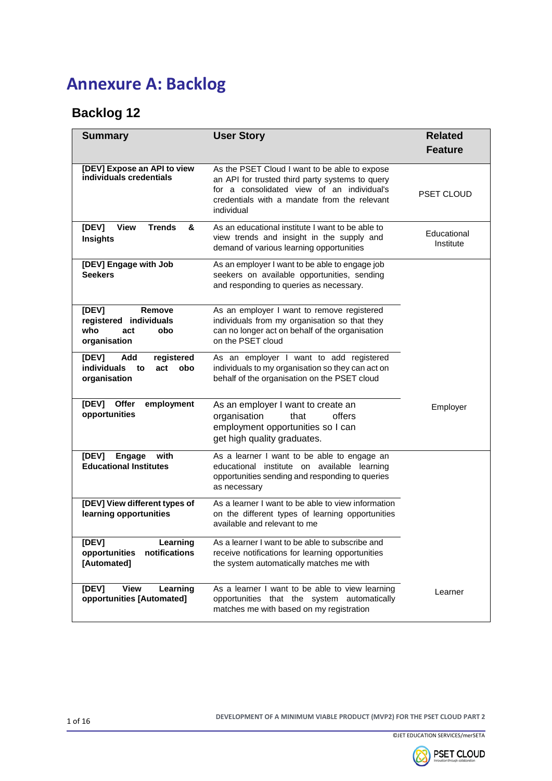# **Annexure A: Backlog**

### **Backlog 12**

| <b>Summary</b>                                                                       | <b>User Story</b>                                                                                                                                                                                            | <b>Related</b><br><b>Feature</b> |
|--------------------------------------------------------------------------------------|--------------------------------------------------------------------------------------------------------------------------------------------------------------------------------------------------------------|----------------------------------|
| [DEV] Expose an API to view<br>individuals credentials                               | As the PSET Cloud I want to be able to expose<br>an API for trusted third party systems to query<br>for a consolidated view of an individual's<br>credentials with a mandate from the relevant<br>individual | <b>PSET CLOUD</b>                |
| <b>Trends</b><br>[DEV]<br><b>View</b><br>&<br><b>Insights</b>                        | As an educational institute I want to be able to<br>view trends and insight in the supply and<br>demand of various learning opportunities                                                                    | Educational<br>Institute         |
| [DEV] Engage with Job<br><b>Seekers</b>                                              | As an employer I want to be able to engage job<br>seekers on available opportunities, sending<br>and responding to queries as necessary.                                                                     |                                  |
| [DEV]<br>Remove<br>registered individuals<br>who<br>obo<br>act<br>organisation       | As an employer I want to remove registered<br>individuals from my organisation so that they<br>can no longer act on behalf of the organisation<br>on the PSET cloud                                          |                                  |
| registered<br>[DEV]<br>Add<br><b>individuals</b><br>obo<br>to<br>act<br>organisation | As an employer I want to add registered<br>individuals to my organisation so they can act on<br>behalf of the organisation on the PSET cloud                                                                 |                                  |
| [DEV]<br>Offer<br>employment<br>opportunities                                        | As an employer I want to create an<br>offers<br>organisation<br>that<br>employment opportunities so I can<br>get high quality graduates.                                                                     | Employer                         |
| [DEV]<br>Engage<br>with<br><b>Educational Institutes</b>                             | As a learner I want to be able to engage an<br>educational institute on available learning<br>opportunities sending and responding to queries<br>as necessary                                                |                                  |
| [DEV] View different types of<br>learning opportunities                              | As a learner I want to be able to view information<br>on the different types of learning opportunities<br>available and relevant to me                                                                       |                                  |
| [DEV]<br>Learning<br>opportunities<br>notifications<br>[Automated]                   | As a learner I want to be able to subscribe and<br>receive notifications for learning opportunities<br>the system automatically matches me with                                                              |                                  |
| <b>View</b><br>Learning<br>[DEV]<br>opportunities [Automated]                        | As a learner I want to be able to view learning<br>opportunities that the system automatically<br>matches me with based on my registration                                                                   | Learner                          |



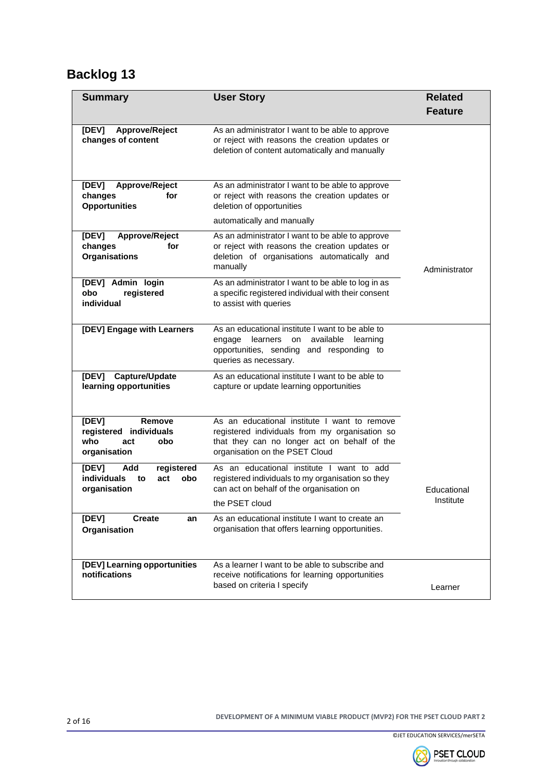| <b>Summary</b>                                                                       | <b>User Story</b>                                                                                                                                                                | <b>Related</b> |
|--------------------------------------------------------------------------------------|----------------------------------------------------------------------------------------------------------------------------------------------------------------------------------|----------------|
|                                                                                      |                                                                                                                                                                                  | <b>Feature</b> |
| [DEV]<br>Approve/Reject<br>changes of content                                        | As an administrator I want to be able to approve<br>or reject with reasons the creation updates or<br>deletion of content automatically and manually                             |                |
| Approve/Reject<br>[DEV]<br>changes<br>for<br><b>Opportunities</b>                    | As an administrator I want to be able to approve<br>or reject with reasons the creation updates or<br>deletion of opportunities                                                  |                |
|                                                                                      | automatically and manually                                                                                                                                                       |                |
| [DEV]<br>Approve/Reject<br>changes<br>for<br><b>Organisations</b>                    | As an administrator I want to be able to approve<br>or reject with reasons the creation updates or<br>deletion of organisations automatically and<br>manually                    | Administrator  |
| [DEV] Admin login<br>obo<br>registered<br>individual                                 | As an administrator I want to be able to log in as<br>a specific registered individual with their consent<br>to assist with queries                                              |                |
| [DEV] Engage with Learners                                                           | As an educational institute I want to be able to<br>available<br>learners<br>learning<br>engage<br>on<br>opportunities, sending and responding to<br>queries as necessary.       |                |
| Capture/Update<br>[DEV]<br>learning opportunities                                    | As an educational institute I want to be able to<br>capture or update learning opportunities                                                                                     |                |
| [DEV]<br>Remove<br>registered individuals<br>who<br>obo<br>act<br>organisation       | As an educational institute I want to remove<br>registered individuals from my organisation so<br>that they can no longer act on behalf of the<br>organisation on the PSET Cloud |                |
| [DEV]<br>Add<br>registered<br><b>individuals</b><br>obo<br>to<br>act<br>organisation | As an educational institute I want to add<br>registered individuals to my organisation so they<br>can act on behalf of the organisation on                                       | Educational    |
|                                                                                      | the PSET cloud                                                                                                                                                                   | Institute      |
| [DEV]<br><b>Create</b><br>an<br>Organisation                                         | As an educational institute I want to create an<br>organisation that offers learning opportunities.                                                                              |                |
| [DEV] Learning opportunities<br>notifications                                        | As a learner I want to be able to subscribe and<br>receive notifications for learning opportunities<br>based on criteria I specify                                               | Learner        |



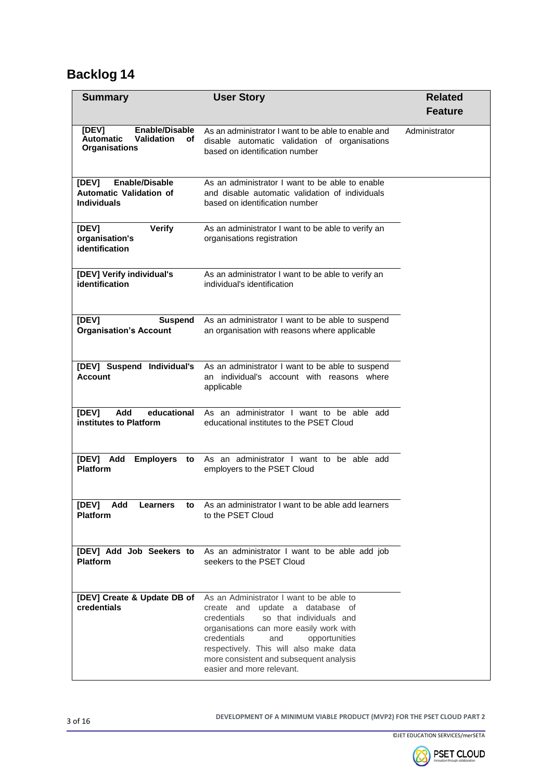| <b>Summary</b>                                                                                 | <b>User Story</b>                                                                                                                                                                                                                                                                                                         | <b>Related</b> |
|------------------------------------------------------------------------------------------------|---------------------------------------------------------------------------------------------------------------------------------------------------------------------------------------------------------------------------------------------------------------------------------------------------------------------------|----------------|
|                                                                                                |                                                                                                                                                                                                                                                                                                                           | <b>Feature</b> |
| [DEV]<br>Enable/Disable<br><b>Validation</b><br><b>Automatic</b><br>оf<br><b>Organisations</b> | As an administrator I want to be able to enable and<br>disable automatic validation of organisations<br>based on identification number                                                                                                                                                                                    | Administrator  |
| [DEV]<br><b>Enable/Disable</b><br><b>Automatic Validation of</b><br><b>Individuals</b>         | As an administrator I want to be able to enable<br>and disable automatic validation of individuals<br>based on identification number                                                                                                                                                                                      |                |
| <b>Verify</b><br>[DEV]<br>organisation's<br>identification                                     | As an administrator I want to be able to verify an<br>organisations registration                                                                                                                                                                                                                                          |                |
| [DEV] Verify individual's<br>identification                                                    | As an administrator I want to be able to verify an<br>individual's identification                                                                                                                                                                                                                                         |                |
| [DEV]<br><b>Suspend</b><br><b>Organisation's Account</b>                                       | As an administrator I want to be able to suspend<br>an organisation with reasons where applicable                                                                                                                                                                                                                         |                |
| [DEV] Suspend Individual's<br>Account                                                          | As an administrator I want to be able to suspend<br>an individual's account with reasons where<br>applicable                                                                                                                                                                                                              |                |
| Add<br>educational<br>[DEV]<br>institutes to Platform                                          | As an administrator I want to be able add<br>educational institutes to the PSET Cloud                                                                                                                                                                                                                                     |                |
| Add Employers to<br>[DEV]<br><b>Platform</b>                                                   | As an administrator I want to be able add<br>employers to the PSET Cloud                                                                                                                                                                                                                                                  |                |
| [DEV] Add Learners<br>to<br><b>Platform</b>                                                    | As an administrator I want to be able add learners<br>to the PSET Cloud                                                                                                                                                                                                                                                   |                |
| [DEV] Add Job Seekers to<br><b>Platform</b>                                                    | As an administrator I want to be able add job<br>seekers to the PSET Cloud                                                                                                                                                                                                                                                |                |
| [DEV] Create & Update DB of<br>credentials                                                     | As an Administrator I want to be able to<br>create and update a database of<br>credentials<br>so that individuals and<br>organisations can more easily work with<br>credentials<br>and<br>opportunities<br>respectively. This will also make data<br>more consistent and subsequent analysis<br>easier and more relevant. |                |

<sup>3</sup> of 16 **DEVELOPMENT OF A MINIMUM VIABLE PRODUCT (MVP2) FOR THE PSET CLOUD PART 2**



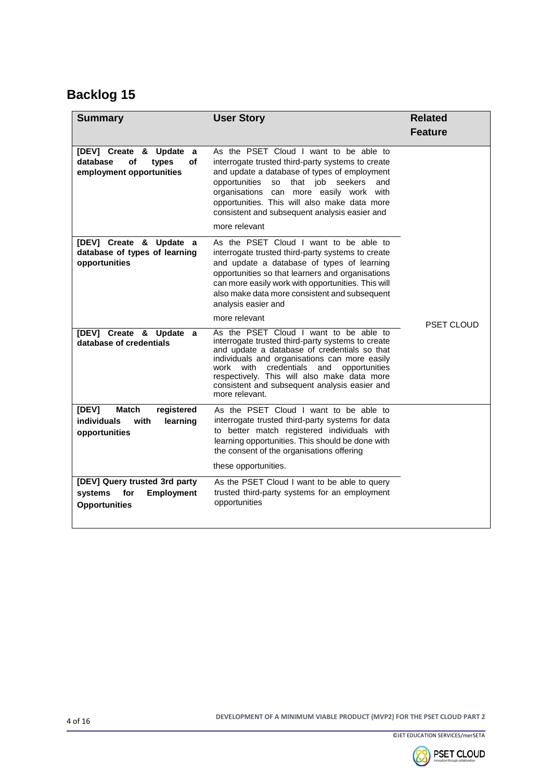| <b>Summary</b>                                                                               | <b>User Story</b>                                                                                                                                                                                                                                                                                                                                                     | <b>Related</b><br><b>Feature</b> |
|----------------------------------------------------------------------------------------------|-----------------------------------------------------------------------------------------------------------------------------------------------------------------------------------------------------------------------------------------------------------------------------------------------------------------------------------------------------------------------|----------------------------------|
| [DEV] Create & Update a<br>οf<br>database<br>of<br>types<br>employment opportunities         | As the PSET Cloud I want to be able to<br>interrogate trusted third-party systems to create<br>and update a database of types of employment<br>opportunities<br>so<br>that job seekers<br>and<br>with<br>organisations can more easily work<br>opportunities. This will also make data more<br>consistent and subsequent analysis easier and<br>more relevant         |                                  |
| [DEV] Create & Update a<br>database of types of learning<br>opportunities                    | As the PSET Cloud I want to be able to<br>interrogate trusted third-party systems to create<br>and update a database of types of learning<br>opportunities so that learners and organisations<br>can more easily work with opportunities. This will<br>also make data more consistent and subsequent<br>analysis easier and                                           |                                  |
|                                                                                              | more relevant                                                                                                                                                                                                                                                                                                                                                         | <b>PSET CLOUD</b>                |
| [DEV] Create & Update a<br>database of credentials                                           | As the PSET Cloud I want to be able to<br>interrogate trusted third-party systems to create<br>and update a database of credentials so that<br>individuals and organisations can more easily<br>work<br>with<br>credentials<br>and<br>opportunities<br>respectively. This will also make data more<br>consistent and subsequent analysis easier and<br>more relevant. |                                  |
| [DEV]<br><b>Match</b><br>registered<br>individuals<br>with<br>learning<br>opportunities      | As the PSET Cloud I want to be able to<br>interrogate trusted third-party systems for data<br>to better match registered individuals with<br>learning opportunities. This should be done with<br>the consent of the organisations offering                                                                                                                            |                                  |
|                                                                                              | these opportunities.                                                                                                                                                                                                                                                                                                                                                  |                                  |
| [DEV] Query trusted 3rd party<br><b>Employment</b><br>systems<br>for<br><b>Opportunities</b> | As the PSET Cloud I want to be able to query<br>trusted third-party systems for an employment<br>opportunities                                                                                                                                                                                                                                                        |                                  |
|                                                                                              |                                                                                                                                                                                                                                                                                                                                                                       |                                  |



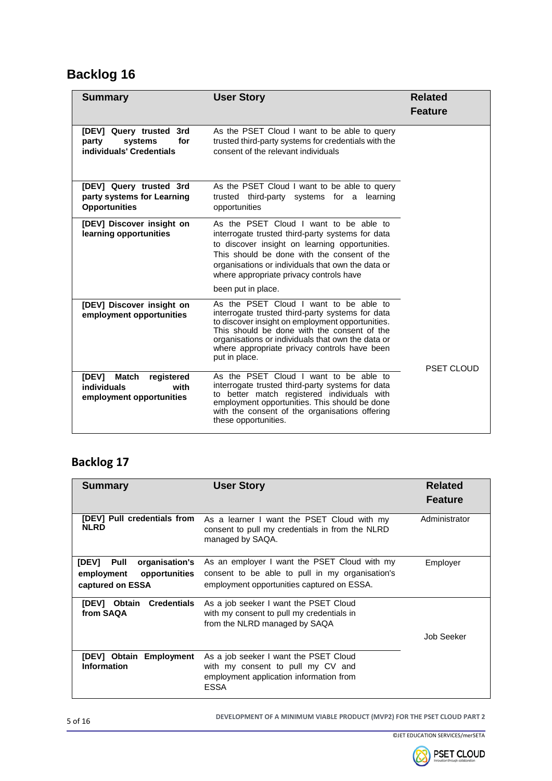| <b>Summary</b>                                                                         | <b>User Story</b>                                                                                                                                                                                                                                                                                                   | <b>Related</b>    |
|----------------------------------------------------------------------------------------|---------------------------------------------------------------------------------------------------------------------------------------------------------------------------------------------------------------------------------------------------------------------------------------------------------------------|-------------------|
|                                                                                        |                                                                                                                                                                                                                                                                                                                     | <b>Feature</b>    |
| [DEV] Query trusted<br>3rd<br>party<br>systems<br>for<br>individuals' Credentials      | As the PSET Cloud I want to be able to query<br>trusted third-party systems for credentials with the<br>consent of the relevant individuals                                                                                                                                                                         |                   |
| [DEV] Query trusted 3rd<br>party systems for Learning<br><b>Opportunities</b>          | As the PSET Cloud I want to be able to query<br>trusted third-party systems for a learning<br>opportunities                                                                                                                                                                                                         |                   |
| [DEV] Discover insight on<br>learning opportunities                                    | As the PSET Cloud I want to be able to<br>interrogate trusted third-party systems for data<br>to discover insight on learning opportunities.<br>This should be done with the consent of the<br>organisations or individuals that own the data or<br>where appropriate privacy controls have                         |                   |
|                                                                                        | been put in place.                                                                                                                                                                                                                                                                                                  |                   |
| [DEV] Discover insight on<br>employment opportunities                                  | As the PSET Cloud I want to be able to<br>interrogate trusted third-party systems for data<br>to discover insight on employment opportunities.<br>This should be done with the consent of the<br>organisations or individuals that own the data or<br>where appropriate privacy controls have been<br>put in place. | <b>PSET CLOUD</b> |
| [DEV]<br><b>Match</b><br>registered<br>individuals<br>with<br>employment opportunities | As the PSET Cloud I want to be able to<br>interrogate trusted third-party systems for data<br>to better match registered individuals with<br>employment opportunities. This should be done<br>with the consent of the organisations offering<br>these opportunities.                                                |                   |

#### **Backlog 17**

| <b>Summary</b>                                                                            | <b>User Story</b>                                                                                                                             | <b>Related</b><br><b>Feature</b> |
|-------------------------------------------------------------------------------------------|-----------------------------------------------------------------------------------------------------------------------------------------------|----------------------------------|
| [DEV] Pull credentials from<br><b>NLRD</b>                                                | As a learner I want the PSET Cloud with my<br>consent to pull my credentials in from the NLRD<br>managed by SAQA.                             | Administrator                    |
| <b>IDEVI</b><br>Pull<br>organisation's<br>employment<br>opportunities<br>captured on ESSA | As an employer I want the PSET Cloud with my<br>consent to be able to pull in my organisation's<br>employment opportunities captured on ESSA. | Employer                         |
| <b>Credentials</b><br><b>IDEVI</b><br><b>Obtain</b><br>from SAQA                          | As a job seeker I want the PSET Cloud<br>with my consent to pull my credentials in<br>from the NLRD managed by SAQA                           | Job Seeker                       |
| [DEV] Obtain<br><b>Employment</b><br><b>Information</b>                                   | As a job seeker I want the PSET Cloud<br>with my consent to pull my CV and<br>employment application information from<br><b>ESSA</b>          |                                  |

<sup>5</sup> of 16 **DEVELOPMENT OF A MINIMUM VIABLE PRODUCT (MVP2) FOR THE PSET CLOUD PART 2**